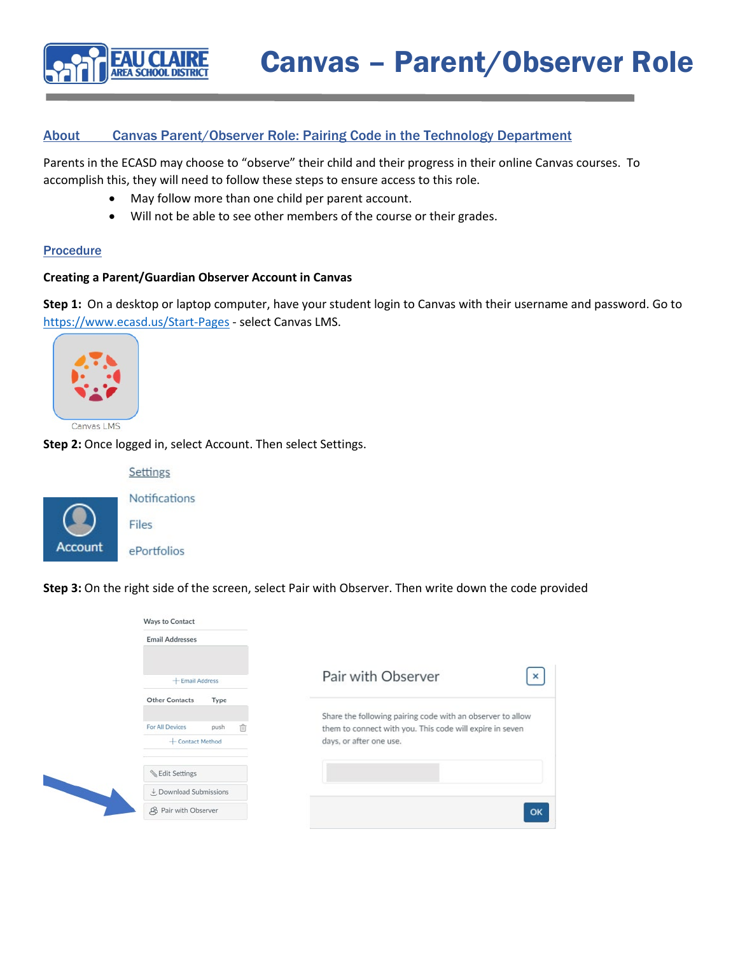

## About Canvas Parent/Observer Role: Pairing Code in the Technology Department

Parents in the ECASD may choose to "observe" their child and their progress in their online Canvas courses. To accomplish this, they will need to follow these steps to ensure access to this role.

- May follow more than one child per parent account.
- Will not be able to see other members of the course or their grades.

## Procedure

## **Creating a Parent/Guardian Observer Account in Canvas**

**Step 1:** On a desktop or laptop computer, have your student login to Canvas with their username and password. Go to <https://www.ecasd.us/Start-Pages> - select Canvas LMS.



Canvas LMS

**Step 2:** Once logged in, select Account. Then select Settings.



Notifications Files

Settings

ePortfolios

**Step 3:** On the right side of the screen, select Pair with Observer. Then write down the code provided